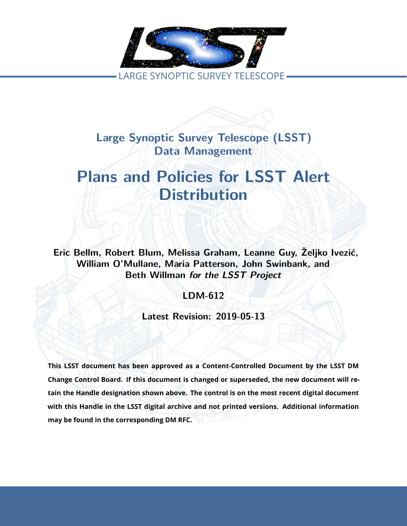

**Large Synoptic Survey Telescope (LSST) Data Management**

# **Plans and Policies for LSST Alert Distribution**

**Eric Bellm, Robert Blum, Melissa Graham, Leanne Guy, Željko Ivezić, William O'Mullane, Maria Patterson, John Swinbank, and Beth Willman** *for the LSST Project*

**LDM-612**

**Latest Revision: 2019-05-13**

**This LSST document has been approved as a Content-Controlled Document by the LSST DM Change Control Board. If this document is changed or superseded, the new document will retain the Handle designation shown above. The control is on the most recent digital document with this Handle in the LSST digital archive and not printed versions. Additional information may be found in the corresponding DM RFC.**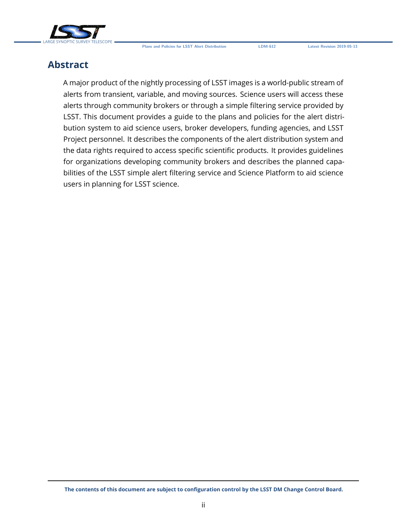

# **Abstract**

A major product of the nightly processing of LSST images is a world-public stream of alerts from transient, variable, and moving sources. Science users will access these alerts through community brokers or through a simple filtering service provided by LSST. This document provides a guide to the plans and policies for the alert distribution system to aid science users, broker developers, funding agencies, and LSST Project personnel. It describes the components of the alert distribution system and the data rights required to access specific scientific products. It provides guidelines for organizations developing community brokers and describes the planned capabilities of the LSST simple alert filtering service and Science Platform to aid science users in planning for LSST science.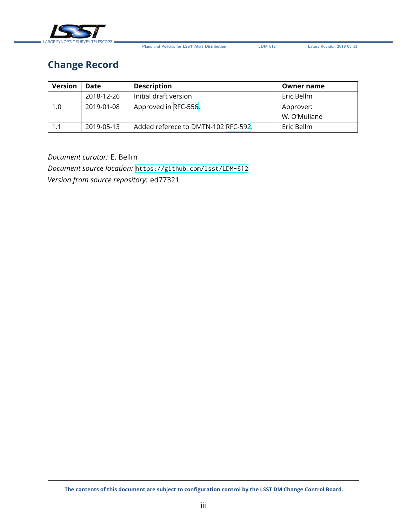

# **Change Record**

| <b>Version</b> | Date       | <b>Description</b>                  | Owner name   |
|----------------|------------|-------------------------------------|--------------|
|                | 2018-12-26 | Initial draft version               | Eric Bellm   |
| 1.0            | 2019-01-08 | Approved in RFC-556.                | Approver:    |
|                |            |                                     | W. O'Mullane |
| 1.1            | 2019-05-13 | Added referece to DMTN-102 RFC-592. | Eric Bellm   |

*Document curator:* E. Bellm *Document source location:* <https://github.com/lsst/LDM-612> *Version from source repository:* ed77321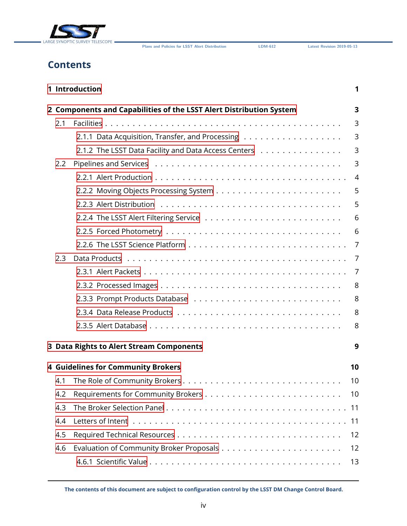

# **Contents**

|     | 1 Introduction                                                      | 1              |
|-----|---------------------------------------------------------------------|----------------|
|     | 2 Components and Capabilities of the LSST Alert Distribution System | 3              |
| 2.1 |                                                                     | 3              |
|     |                                                                     | 3              |
|     | 2.1.2 The LSST Data Facility and Data Access Centers                | 3              |
| 2.2 |                                                                     | 3              |
|     |                                                                     | $\overline{4}$ |
|     |                                                                     | 5              |
|     |                                                                     | 5              |
|     |                                                                     | 6              |
|     |                                                                     | 6              |
|     |                                                                     | $\overline{7}$ |
| 2.3 |                                                                     | 7              |
|     |                                                                     | 7              |
|     |                                                                     | 8              |
|     |                                                                     | 8              |
|     |                                                                     | 8              |
|     |                                                                     | 8              |
|     | 3 Data Rights to Alert Stream Components                            | 9              |
|     |                                                                     |                |
|     | <b>4 Guidelines for Community Brokers</b>                           | 10             |
| 4.1 |                                                                     | 10             |
| 4.2 |                                                                     | 10             |
| 4.3 |                                                                     | 11             |
| 4.4 |                                                                     | 11             |
| 4.5 |                                                                     | 12             |
| 4.6 |                                                                     | 12             |
|     |                                                                     | 13             |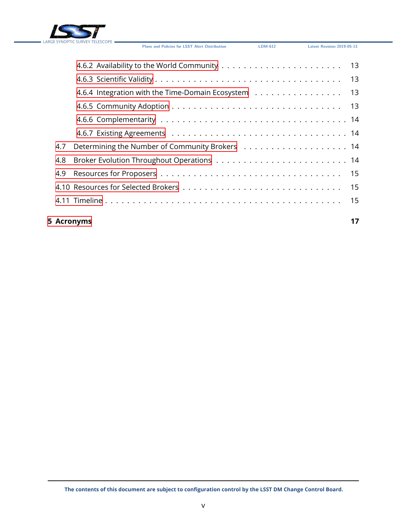

|     | 4.6.4 Integration with the Time-Domain Ecosystem 13 |  |
|-----|-----------------------------------------------------|--|
|     |                                                     |  |
|     |                                                     |  |
|     |                                                     |  |
| 4.7 |                                                     |  |
| 4.8 |                                                     |  |
|     |                                                     |  |
|     |                                                     |  |
|     |                                                     |  |
|     |                                                     |  |

### **[5 Acronyms](#page-21-0) 17**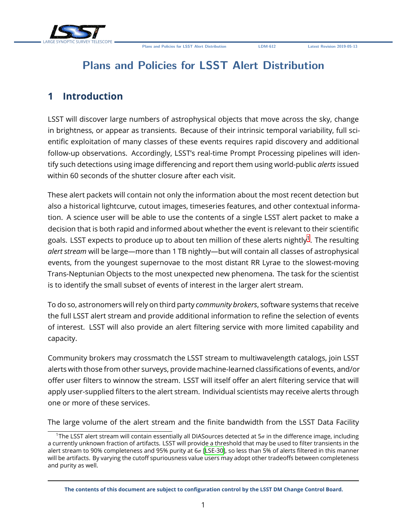

# **Plans and Policies for LSST Alert Distribution**

# <span id="page-5-0"></span>**1 Introduction**

LSST will discover large numbers of astrophysical objects that move across the sky, change in brightness, or appear as transients. Because of their intrinsic temporal variability, full scientific exploitation of many classes of these events requires rapid discovery and additional follow-up observations. Accordingly, LSST's real-time Prompt Processing pipelines will identify such detections using image differencing and report them using world-public *alerts* issued within 60 seconds of the shutter closure after each visit.

These alert packets will contain not only the information about the most recent detection but also a historical lightcurve, cutout images, timeseries features, and other contextual information. A science user will be able to use the contents of a single LSST alert packet to make a decision that is both rapid and informed about whether the event is relevant to their scientific goals. LSST expects to produce up to about ten million of these alerts nightly $^{\rm 1}.$  $^{\rm 1}.$  $^{\rm 1}.$  The resulting *alert stream* will be large—more than 1 TB nightly—but will contain all classes of astrophysical events, from the youngest supernovae to the most distant RR Lyrae to the slowest-moving Trans-Neptunian Objects to the most unexpected new phenomena. The task for the scientist is to identify the small subset of events of interest in the larger alert stream.

To do so, astronomers will rely on third party *community brokers*, software systems that receive the full LSST alert stream and provide additional information to refine the selection of events of interest. LSST will also provide an alert filtering service with more limited capability and capacity.

Community brokers may crossmatch the LSST stream to multiwavelength catalogs, join LSST alerts with those from other surveys, provide machine-learned classifications of events, and/or offer user filters to winnow the stream. LSST will itself offer an alert filtering service that will apply user-supplied filters to the alert stream. Individual scientists may receive alerts through one or more of these services.

The large volume of the alert stream and the finite bandwidth from the LSST Data Facility

<span id="page-5-1"></span><sup>&</sup>lt;sup>1</sup>The LSST alert stream will contain essentially all DIASources detected at  $5\sigma$  in the difference image, including a currently unknown fraction of artifacts. LSST will provide a threshold that may be used to filter transients in the alert stream to 90% completeness and 95% purity at  $6\sigma$  [\[LSE-30](#page-21-1)], so less than 5% of alerts filtered in this manner will be artifacts. By varying the cutoff spuriousness value users may adopt other tradeoffs between completeness and purity as well.

**The contents of this document are subject to configuration control by the LSST DM Change Control Board.**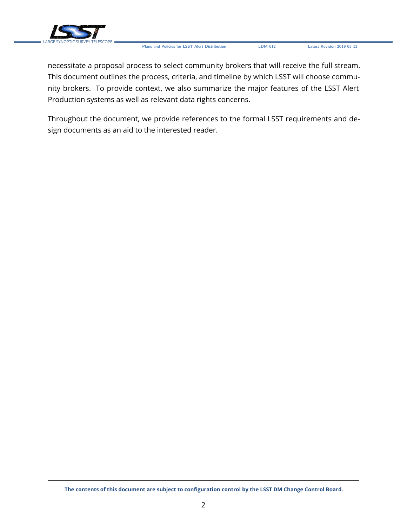

necessitate a proposal process to select community brokers that will receive the full stream. This document outlines the process, criteria, and timeline by which LSST will choose community brokers. To provide context, we also summarize the major features of the LSST Alert Production systems as well as relevant data rights concerns.

Throughout the document, we provide references to the formal LSST requirements and design documents as an aid to the interested reader.

**The contents of this document are subject to configuration control by the LSST DM Change Control Board.**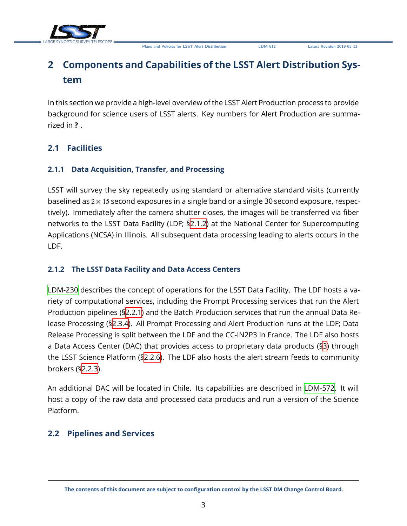

# <span id="page-7-0"></span>**2 Components and Capabilities of the LSST Alert Distribution System**

In this section we provide a high-level overview of the LSST Alert Production process to provide background for science users of LSST alerts. Key numbers for Alert Production are summarized in **?** .

### <span id="page-7-2"></span><span id="page-7-1"></span>**2.1 Facilities**

### **2.1.1 Data Acquisition, Transfer, and Processing**

LSST will survey the sky repeatedly using standard or alternative standard visits (currently baselined as  $2 \times 15$  second exposures in a single band or a single 30 second exposure, respectively). Immediately after the camera shutter closes, the images will be transferred via fiber networks to the LSST Data Facility (LDF; [§2.1.2\)](#page-7-3) at the National Center for Supercomputing Applications (NCSA) in Illinois. All subsequent data processing leading to alerts occurs in the LDF.

### <span id="page-7-3"></span>**2.1.2 The LSST Data Facility and Data Access Centers**

[LDM-230](#page-22-0) describes the concept of operations for the LSST Data Facility. The LDF hosts a variety of computational services, including the Prompt Processing services that run the Alert Production pipelines (§[2.2.1](#page-7-5)) and the Batch Production services that run the annual Data Release Processing (§[2.3.4](#page-12-2)). All Prompt Processing and Alert Production runs at the LDF; Data Release Processing is split between the LDF and the CC-IN2P3 in France. The LDF also hosts a Data Access Center (DAC) that provides access to proprietary data products (§[3](#page-13-0)) through the LSST Science Platform (§[2.2.6](#page-11-0)). The LDF also hosts the alert stream feeds to community brokers (§[2.2.3](#page-9-0)).

An additional DAC will be located in Chile. Its capabilities are described in [LDM-572](#page-22-1). It will host a copy of the raw data and processed data products and run a version of the Science Platform.

### <span id="page-7-5"></span><span id="page-7-4"></span>**2.2 Pipelines and Services**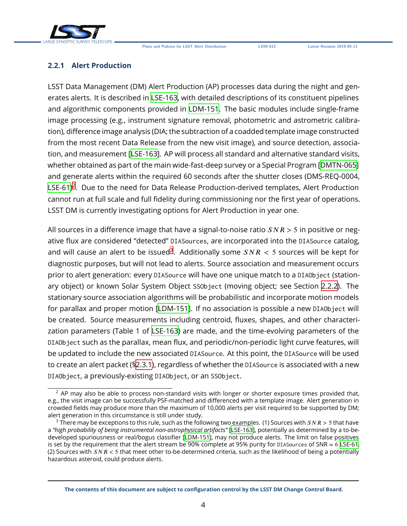



#### **2.2.1 Alert Production**

LSST Data Management (DM) Alert Production (AP) processes data during the night and generates alerts. It is described in [LSE-163](#page-22-2), with detailed descriptions of its constituent pipelines and algorithmic components provided in [LDM-151](#page-22-3). The basic modules include single-frame image processing (e.g., instrument signature removal, photometric and astrometric calibration), difference image analysis (DIA; the subtraction of a coadded template image constructed from the most recent Data Release from the new visit image), and source detection, association, and measurement[[LSE-163\]](#page-22-2). AP will process all standard and alternative standard visits, whether obtained as part of the main wide-fast-deep survey or a Special Program [\[DMTN-065](#page-22-4)] and generate alerts within the required 60 seconds after the shutter closes (DMS-REQ-0004, [LSE-61\)](#page-22-5)<sup>[2](#page-8-1)</sup>. Due to the need for Data Release Production-derived templates, Alert Production cannot run at full scale and full fidelity during commissioning nor the first year of operations. LSST DM is currently investigating options for Alert Production in year one.

All sources in a difference image that have a signal-to-noise ratio  $SNR > 5$  in positive or negative flux are considered "detected" DIASources, are incorporated into the DIASource catalog, and will cause an alert to be issued $^3$  $^3$ . Additionally some  $SNR < 5$  sources will be kept for diagnostic purposes, but will not lead to alerts. Source association and measurement occurs prior to alert generation: every DIASource will have one unique match to a DIAObject (stationary object) or known Solar System Object SSObject (moving object; see Section [2.2.2](#page-8-0)). The stationary source association algorithms will be probabilistic and incorporate motion models for parallax and proper motion[[LDM-151](#page-22-3)]. If no association is possible a new DIAObject will be created. Source measurements including centroid, fluxes, shapes, and other characterization parameters (Table 1 of [LSE-163](#page-22-2)) are made, and the time-evolving parameters of the DIAObject such as the parallax, mean flux, and periodic/non-periodic light curve features, will be updated to include the new associated DIASource. At this point, the DIASource will be used to create an alert packet ([§2.3.1\)](#page-11-2), regardless of whether the DIASource is associated with a new DIAObject, a previously-existing DIAObject, or an SSObject.

<span id="page-8-1"></span><span id="page-8-0"></span> $2$  AP may also be able to process non-standard visits with longer or shorter exposure times provided that, e.g., the visit image can be successfully PSF-matched and differenced with a template image. Alert generation in crowded fields may produce more than the maximum of 10,000 alerts per visit required to be supported by DM; alert generation in this circumstance is still under study.

<span id="page-8-2"></span><sup>&</sup>lt;sup>3</sup> There may be exceptions to this rule, such as the following two examples. (1) Sources with  $SNR > 5$  that have a *"high probability of being instrumental non-astrophysical artifacts"* [[LSE-163](#page-22-2)], potentially as determined by a to-bedeveloped spuriousness or real/bogus classifier[[LDM-151](#page-22-3)], may not produce alerts. The limit on false positives is set by the requirement that the alert stream be 90% complete at 95% purity for DIASources of SNR = 6 [LSE-61](#page-22-5). (2) Sources with  $SNR < 5$  that meet other to-be-determined criteria, such as the likelihood of being a potentially hazardous asteroid, could produce alerts.

**The contents of this document are subject to configuration control by the LSST DM Change Control Board.**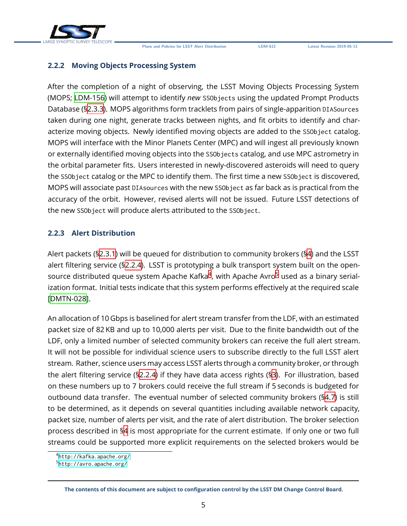

#### **2.2.2 Moving Objects Processing System**

After the completion of a night of observing, the LSST Moving Objects Processing System (MOPS; [LDM-156](#page-22-6)) will attempt to identify *new* SSObjects using the updated Prompt Products Database ([§2.3.3\)](#page-12-1). MOPS algorithms form tracklets from pairs of single-apparition DIASources taken during one night, generate tracks between nights, and fit orbits to identify and characterize moving objects. Newly identified moving objects are added to the SSObject catalog. MOPS will interface with the Minor Planets Center (MPC) and will ingest all previously known or externally identified moving objects into the SSObjects catalog, and use MPC astrometry in the orbital parameter fits. Users interested in newly-discovered asteroids will need to query the SSObject catalog or the MPC to identify them. The first time a new SSObject is discovered, MOPS will associate past DIAsources with the new SSObject as far back as is practical from the accuracy of the orbit. However, revised alerts will not be issued. Future LSST detections of the new SSObject will produce alerts attributed to the SSObject.

#### <span id="page-9-0"></span>**2.2.3 Alert Distribution**

Alert packets ([§2.3.1\)](#page-11-2) will be queued for distribution to community brokers ([§4](#page-14-0)) and the LSST alert filtering service ([§2.2.4\)](#page-10-0). LSST is prototyping a bulk transport system built on the opensource distributed queue system Apache Kafka $^4$  $^4$ , with Apache Avro $^5$  $^5$  used as a binary serialization format. Initial tests indicate that this system performs effectively at the required scale [[DMTN-028\]](#page-22-7).

An allocation of 10 Gbps is baselined for alert stream transfer from the LDF, with an estimated packet size of 82 KB and up to 10,000 alerts per visit. Due to the finite bandwidth out of the LDF, only a limited number of selected community brokers can receive the full alert stream. It will not be possible for individual science users to subscribe directly to the full LSST alert stream. Rather, science users may access LSST alerts through a community broker, or through the alert filtering service (§[2.2.4](#page-10-0)) if they have data access rights ([§3\)](#page-13-0). For illustration, based on these numbers up to 7 brokers could receive the full stream if 5 seconds is budgeted for outbound data transfer. The eventual number of selected community brokers (§[4.7](#page-18-1)) is still to be determined, as it depends on several quantities including available network capacity, packet size, number of alerts per visit, and the rate of alert distribution. The broker selection process described in [§4](#page-14-0) is most appropriate for the current estimate. If only one or two full streams could be supported more explicit requirements on the selected brokers would be

<span id="page-9-1"></span><sup>4</sup> <http://kafka.apache.org/>

<span id="page-9-2"></span><sup>5</sup> <http://avro.apache.org/>

**The contents of this document are subject to configuration control by the LSST DM Change Control Board.**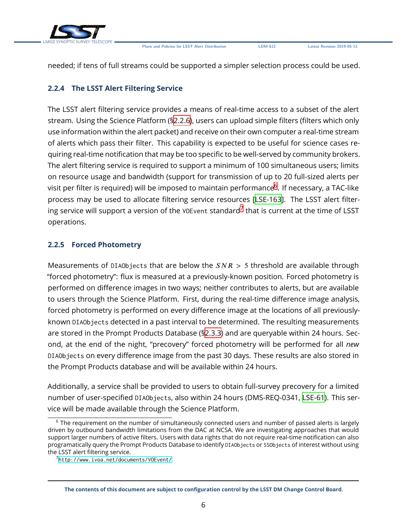

needed; if tens of full streams could be supported a simpler selection process could be used.

### <span id="page-10-0"></span>**2.2.4 The LSST Alert Filtering Service**

The LSST alert filtering service provides a means of real-time access to a subset of the alert stream. Using the Science Platform ([§2.2.6\)](#page-11-0), users can upload simple filters (filters which only use information within the alert packet) and receive on their own computer a real-time stream of alerts which pass their filter. This capability is expected to be useful for science cases requiring real-time notification that may be too specific to be well-served by community brokers. The alert filtering service is required to support a minimum of 100 simultaneous users; limits on resource usage and bandwidth (support for transmission of up to 20 full-sized alerts per visit per filter is required) will be imposed to maintain performance $^6$  $^6$ . If necessary, a TAC-like process may be used to allocate filtering service resources[[LSE-163\]](#page-22-2). The LSST alert filtering service will support a version of the <code>vo</code>E<code>vent</code> standard $^7$  $^7$  that is current at the time of <code>LSST</code> operations.

### <span id="page-10-1"></span>**2.2.5 Forced Photometry**

Measurements of DIAObjects that are below the  $SNR > 5$  threshold are available through "forced photometry": flux is measured at a previously-known position. Forced photometry is performed on difference images in two ways; neither contributes to alerts, but are available to users through the Science Platform. First, during the real-time difference image analysis, forced photometry is performed on every difference image at the locations of all previouslyknown DIAObjects detected in a past interval to be determined. The resulting measurements are stored in the Prompt Products Database ([§2.3.3\)](#page-12-1) and are queryable within 24 hours. Second, at the end of the night, "precovery" forced photometry will be performed for all *new* DIAObjects on every difference image from the past 30 days. These results are also stored in the Prompt Products database and will be available within 24 hours.

Additionally, a service shall be provided to users to obtain full-survey precovery for a limited number of user-specified DIAObjects, also within 24 hours (DMS-REQ-0341, [LSE-61\)](#page-22-5). This service will be made available through the Science Platform.

<span id="page-10-2"></span><sup>&</sup>lt;sup>6</sup> The requirement on the number of simultaneously connected users and number of passed alerts is largely driven by outbound bandwidth limitations from the DAC at NCSA. We are investigating approaches that would support larger numbers of active filters. Users with data rights that do not require real-time notification can also programatically query the Prompt Products Database to identify DIAObjects or SSObjects of interest without using the LSST alert filtering service.

<span id="page-10-3"></span><sup>7</sup> <http://www.ivoa.net/documents/VOEvent/>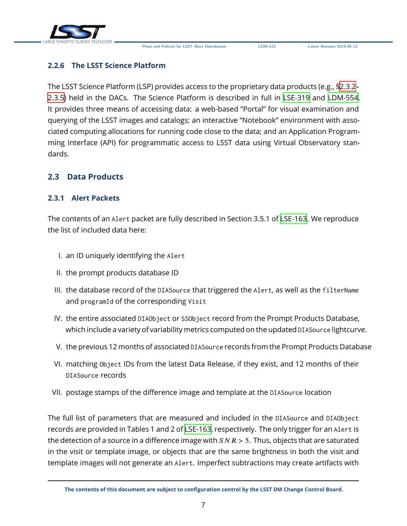

### <span id="page-11-0"></span>**2.2.6 The LSST Science Platform**

The LSST Science Platform (LSP) provides access to the proprietary data products (e.g., [§2.3.2–](#page-12-0) [2.3.5\)](#page-12-3) held in the DACs. The Science Platform is described in full in [LSE-319](#page-22-8) and [LDM-554](#page-22-9). It provides three means of accessing data: a web-based "Portal" for visual examination and querying of the LSST images and catalogs; an interactive "Notebook" environment with associated computing allocations for running code close to the data; and an Application Programming Interface (API) for programmatic access to LSST data using Virtual Observatory standards.

### <span id="page-11-2"></span><span id="page-11-1"></span>**2.3 Data Products**

#### **2.3.1 Alert Packets**

The contents of an Alert packet are fully described in Section 3.5.1 of [LSE-163.](#page-22-2) We reproduce the list of included data here:

- I. an ID uniquely identifying the Alert
- II. the prompt products database ID
- III. the database record of the DIASource that triggered the Alert, as well as the filterName and programId of the corresponding Visit
- IV. the entire associated DIAObject or SSObject record from the Prompt Products Database, which include a variety of variability metrics computed on the updated DIASource lightcurve.
- V. the previous 12 months of associated DIASource records from the Prompt Products Database
- VI. matching Object IDs from the latest Data Release, if they exist, and 12 months of their DIASource records
- VII. postage stamps of the difference image and template at the DIASource location

The full list of parameters that are measured and included in the DIASource and DIAObject records are provided in Tables 1 and 2 of [LSE-163,](#page-22-2) respectively. The only trigger for an Alert is the detection of a source in a difference image with  $SNR > 5$ . Thus, objects that are saturated in the visit or template image, or objects that are the same brightness in both the visit and template images will not generate an Alert. Imperfect subtractions may create artifacts with

**The contents of this document are subject to configuration control by the LSST DM Change Control Board.**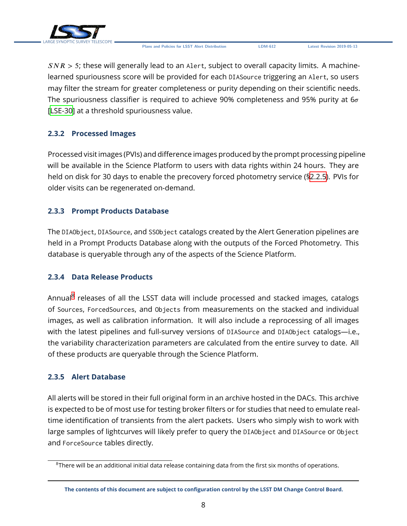

 $SNR > 5$ ; these will generally lead to an Alert, subject to overall capacity limits. A machinelearned spuriousness score will be provided for each DIASource triggering an Alert, so users may filter the stream for greater completeness or purity depending on their scientific needs. The spuriousness classifier is required to achieve 90% completeness and 95% purity at  $6\sigma$ [[LSE-30](#page-21-1)] at a threshold spuriousness value.

### <span id="page-12-0"></span>**2.3.2 Processed Images**

Processed visit images (PVIs) and difference images produced by the prompt processing pipeline will be available in the Science Platform to users with data rights within 24 hours. They are held on disk for 30 days to enable the precovery forced photometry service ([§2.2.5\)](#page-10-1). PVIs for older visits can be regenerated on-demand.

### <span id="page-12-1"></span>**2.3.3 Prompt Products Database**

The DIAObject, DIASource, and SSObject catalogs created by the Alert Generation pipelines are held in a Prompt Products Database along with the outputs of the Forced Photometry. This database is queryable through any of the aspects of the Science Platform.

#### <span id="page-12-2"></span>**2.3.4 Data Release Products**

Annual<sup>[8](#page-12-4)</sup> releases of all the LSST data will include processed and stacked images, catalogs of Sources, ForcedSources, and Objects from measurements on the stacked and individual images, as well as calibration information. It will also include a reprocessing of all images with the latest pipelines and full-survey versions of DIASource and DIAObject catalogs—i.e., the variability characterization parameters are calculated from the entire survey to date. All of these products are queryable through the Science Platform.

#### <span id="page-12-3"></span>**2.3.5 Alert Database**

All alerts will be stored in their full original form in an archive hosted in the DACs. This archive is expected to be of most use for testing broker filters or for studies that need to emulate realtime identification of transients from the alert packets. Users who simply wish to work with large samples of lightcurves will likely prefer to query the DIAObject and DIASource or Object and ForceSource tables directly.

<span id="page-12-4"></span> $8$ There will be an additional initial data release containing data from the first six months of operations.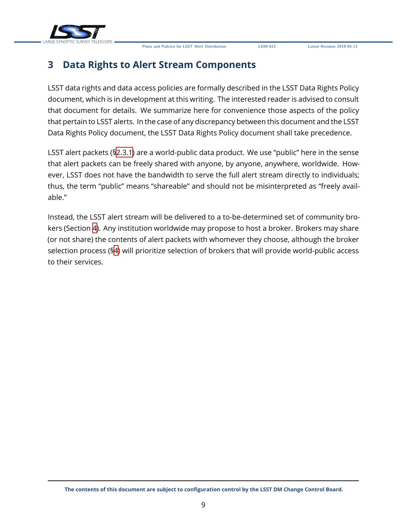

# <span id="page-13-0"></span>**3 Data Rights to Alert Stream Components**

LSST data rights and data access policies are formally described in the LSST Data Rights Policy document, which is in development at this writing. The interested reader is advised to consult that document for details. We summarize here for convenience those aspects of the policy that pertain to LSST alerts. In the case of any discrepancy between this document and the LSST Data Rights Policy document, the LSST Data Rights Policy document shall take precedence.

LSST alert packets (§[2.3.1](#page-11-2)) are a world-public data product. We use "public" here in the sense that alert packets can be freely shared with anyone, by anyone, anywhere, worldwide. However, LSST does not have the bandwidth to serve the full alert stream directly to individuals; thus, the term "public" means "shareable" and should not be misinterpreted as "freely available."

Instead, the LSST alert stream will be delivered to a to-be-determined set of community brokers (Section [4\)](#page-14-0). Any institution worldwide may propose to host a broker. Brokers may share (or not share) the contents of alert packets with whomever they choose, although the broker selection process (§[4\)](#page-14-0) will prioritize selection of brokers that will provide world-public access to their services.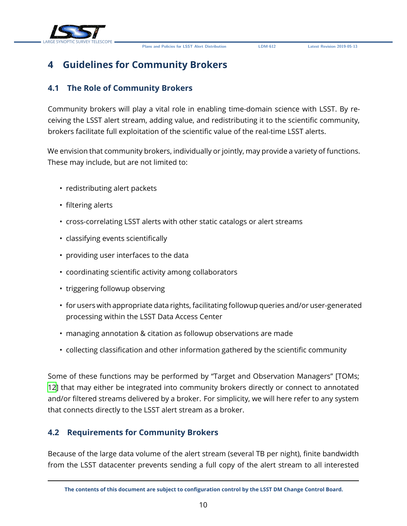



# <span id="page-14-0"></span>**4 Guidelines for Community Brokers**

### <span id="page-14-1"></span>**4.1 The Role of Community Brokers**

Community brokers will play a vital role in enabling time-domain science with LSST. By receiving the LSST alert stream, adding value, and redistributing it to the scientific community, brokers facilitate full exploitation of the scientific value of the real-time LSST alerts.

We envision that community brokers, individually or jointly, may provide a variety of functions. These may include, but are not limited to:

- redistributing alert packets
- filtering alerts
- cross-correlating LSST alerts with other static catalogs or alert streams
- classifying events scientifically
- providing user interfaces to the data
- coordinating scientific activity among collaborators
- triggering followup observing
- for users with appropriate data rights, facilitating followup queries and/or user-generated processing within the LSST Data Access Center
- managing annotation & citation as followup observations are made
- collecting classification and other information gathered by the scientific community

Some of these functions may be performed by "Target and Observation Managers" [TOMs; [12](#page-22-10)] that may either be integrated into community brokers directly or connect to annotated and/or filtered streams delivered by a broker. For simplicity, we will here refer to any system that connects directly to the LSST alert stream as a broker.

### <span id="page-14-2"></span>**4.2 Requirements for Community Brokers**

Because of the large data volume of the alert stream (several TB per night), finite bandwidth from the LSST datacenter prevents sending a full copy of the alert stream to all interested

**The contents of this document are subject to configuration control by the LSST DM Change Control Board.**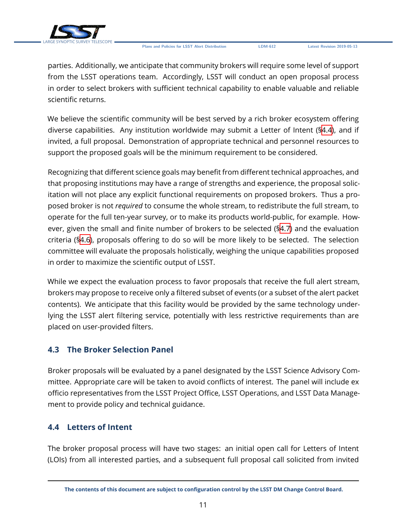

parties. Additionally, we anticipate that community brokers will require some level of support from the LSST operations team. Accordingly, LSST will conduct an open proposal process in order to select brokers with sufficient technical capability to enable valuable and reliable scientific returns.

We believe the scientific community will be best served by a rich broker ecosystem offering diverse capabilities. Any institution worldwide may submit a Letter of Intent ([§4.4\)](#page-15-1), and if invited, a full proposal. Demonstration of appropriate technical and personnel resources to support the proposed goals will be the minimum requirement to be considered.

Recognizing that different science goals may benefit from different technical approaches, and that proposing institutions may have a range of strengths and experience, the proposal solicitation will not place any explicit functional requirements on proposed brokers. Thus a proposed broker is not *required* to consume the whole stream, to redistribute the full stream, to operate for the full ten-year survey, or to make its products world-public, for example. However, given the small and finite number of brokers to be selected ([§4.7\)](#page-18-1) and the evaluation criteria ([§4.6\)](#page-16-1), proposals offering to do so will be more likely to be selected. The selection committee will evaluate the proposals holistically, weighing the unique capabilities proposed in order to maximize the scientific output of LSST.

While we expect the evaluation process to favor proposals that receive the full alert stream, brokers may propose to receive only a filtered subset of events (or a subset of the alert packet contents). We anticipate that this facility would be provided by the same technology underlying the LSST alert filtering service, potentially with less restrictive requirements than are placed on user-provided filters.

### <span id="page-15-0"></span>**4.3 The Broker Selection Panel**

Broker proposals will be evaluated by a panel designated by the LSST Science Advisory Committee. Appropriate care will be taken to avoid conflicts of interest. The panel will include ex officio representatives from the LSST Project Office, LSST Operations, and LSST Data Management to provide policy and technical guidance.

### <span id="page-15-1"></span>**4.4 Letters of Intent**

The broker proposal process will have two stages: an initial open call for Letters of Intent (LOIs) from all interested parties, and a subsequent full proposal call solicited from invited

**The contents of this document are subject to configuration control by the LSST DM Change Control Board.**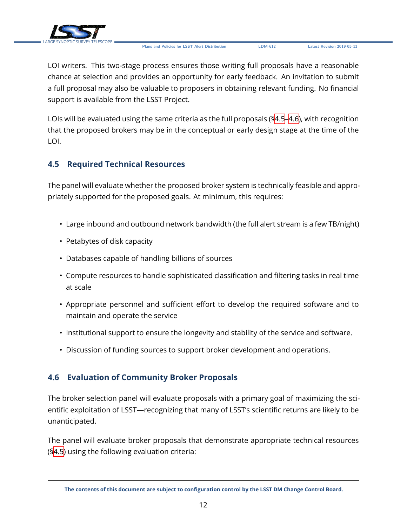

LOI writers. This two-stage process ensures those writing full proposals have a reasonable chance at selection and provides an opportunity for early feedback. An invitation to submit a full proposal may also be valuable to proposers in obtaining relevant funding. No financial support is available from the LSST Project.

LOIs will be evaluated using the same criteria as the full proposals ([§4.5](#page-16-0)[–4.6\)](#page-16-1), with recognition that the proposed brokers may be in the conceptual or early design stage at the time of the LOI.

### <span id="page-16-0"></span>**4.5 Required Technical Resources**

The panel will evaluate whether the proposed broker system is technically feasible and appropriately supported for the proposed goals. At minimum, this requires:

- Large inbound and outbound network bandwidth (the full alert stream is a few TB/night)
- Petabytes of disk capacity
- Databases capable of handling billions of sources
- Compute resources to handle sophisticated classification and filtering tasks in real time at scale
- Appropriate personnel and sufficient effort to develop the required software and to maintain and operate the service
- Institutional support to ensure the longevity and stability of the service and software.
- Discussion of funding sources to support broker development and operations.

## <span id="page-16-1"></span>**4.6 Evaluation of Community Broker Proposals**

The broker selection panel will evaluate proposals with a primary goal of maximizing the scientific exploitation of LSST—recognizing that many of LSST's scientific returns are likely to be unanticipated.

The panel will evaluate broker proposals that demonstrate appropriate technical resources (§[4.5\)](#page-16-0) using the following evaluation criteria:

**The contents of this document are subject to configuration control by the LSST DM Change Control Board.**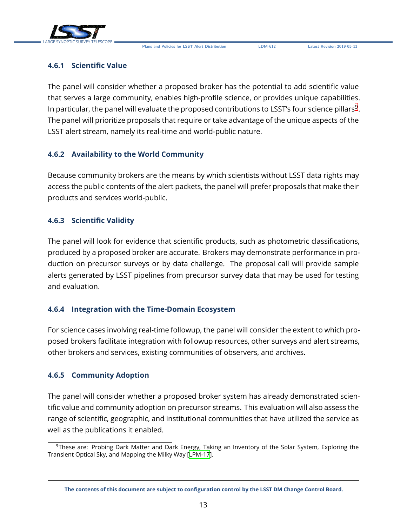

#### <span id="page-17-0"></span>**4.6.1 Scientific Value**

The panel will consider whether a proposed broker has the potential to add scientific value that serves a large community, enables high-profile science, or provides unique capabilities. In particular, the panel will evaluate the proposed contributions to LSST's four science pillars $^9$  $^9$ . The panel will prioritize proposals that require or take advantage of the unique aspects of the LSST alert stream, namely its real-time and world-public nature.

### <span id="page-17-1"></span>**4.6.2 Availability to the World Community**

Because community brokers are the means by which scientists without LSST data rights may access the public contents of the alert packets, the panel will prefer proposals that make their products and services world-public.

#### <span id="page-17-2"></span>**4.6.3 Scientific Validity**

The panel will look for evidence that scientific products, such as photometric classifications, produced by a proposed broker are accurate. Brokers may demonstrate performance in production on precursor surveys or by data challenge. The proposal call will provide sample alerts generated by LSST pipelines from precursor survey data that may be used for testing and evaluation.

### <span id="page-17-3"></span>**4.6.4 Integration with the Time-Domain Ecosystem**

For science cases involving real-time followup, the panel will consider the extent to which proposed brokers facilitate integration with followup resources, other surveys and alert streams, other brokers and services, existing communities of observers, and archives.

#### <span id="page-17-4"></span>**4.6.5 Community Adoption**

The panel will consider whether a proposed broker system has already demonstrated scientific value and community adoption on precursor streams. This evaluation will also assess the range of scientific, geographic, and institutional communities that have utilized the service as well as the publications it enabled.

<span id="page-17-6"></span><span id="page-17-5"></span><sup>9</sup>These are: Probing Dark Matter and Dark Energy, Taking an Inventory of the Solar System, Exploring the Transient Optical Sky, and Mapping the Milky Way[[LPM-17\]](#page-22-11).

**The contents of this document are subject to configuration control by the LSST DM Change Control Board.**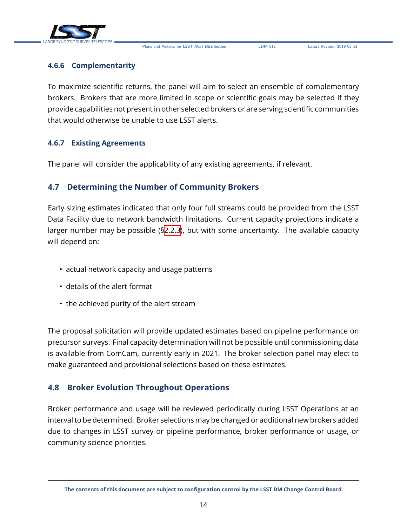

#### **4.6.6 Complementarity**

To maximize scientific returns, the panel will aim to select an ensemble of complementary brokers. Brokers that are more limited in scope or scientific goals may be selected if they provide capabilities not present in other selected brokers or are serving scientific communities that would otherwise be unable to use LSST alerts.

#### <span id="page-18-0"></span>**4.6.7 Existing Agreements**

The panel will consider the applicability of any existing agreements, if relevant.

### <span id="page-18-1"></span>**4.7 Determining the Number of Community Brokers**

Early sizing estimates indicated that only four full streams could be provided from the LSST Data Facility due to network bandwidth limitations. Current capacity projections indicate a larger number may be possible ([§2.2.3\)](#page-9-0), but with some uncertainty. The available capacity will depend on:

- actual network capacity and usage patterns
- details of the alert format
- the achieved purity of the alert stream

The proposal solicitation will provide updated estimates based on pipeline performance on precursor surveys. Final capacity determination will not be possible until commissioning data is available from ComCam, currently early in 2021. The broker selection panel may elect to make guaranteed and provisional selections based on these estimates.

### <span id="page-18-2"></span>**4.8 Broker Evolution Throughout Operations**

Broker performance and usage will be reviewed periodically during LSST Operations at an interval to be determined. Broker selections may be changed or additional new brokers added due to changes in LSST survey or pipeline performance, broker performance or usage, or community science priorities.

**The contents of this document are subject to configuration control by the LSST DM Change Control Board.**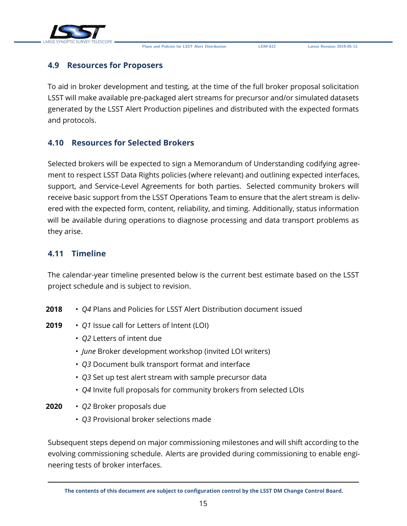

### <span id="page-19-0"></span>**4.9 Resources for Proposers**

To aid in broker development and testing, at the time of the full broker proposal solicitation LSST will make available pre-packaged alert streams for precursor and/or simulated datasets generated by the LSST Alert Production pipelines and distributed with the expected formats and protocols.

### <span id="page-19-1"></span>**4.10 Resources for Selected Brokers**

Selected brokers will be expected to sign a Memorandum of Understanding codifying agreement to respect LSST Data Rights policies (where relevant) and outlining expected interfaces, support, and Service-Level Agreements for both parties. Selected community brokers will receive basic support from the LSST Operations Team to ensure that the alert stream is delivered with the expected form, content, reliability, and timing. Additionally, status information will be available during operations to diagnose processing and data transport problems as they arise.

### <span id="page-19-2"></span>**4.11 Timeline**

The calendar-year timeline presented below is the current best estimate based on the LSST project schedule and is subject to revision.

- **2018** *Q4* Plans and Policies for LSST Alert Distribution document issued
- **2019** *Q1* Issue call for Letters of Intent (LOI)
	- *Q2* Letters of intent due
	- *June* Broker development workshop (invited LOI writers)
	- *Q3* Document bulk transport format and interface
	- *Q3* Set up test alert stream with sample precursor data
	- *Q4* Invite full proposals for community brokers from selected LOIs
- **2020** *Q2* Broker proposals due
	- *Q3* Provisional broker selections made

Subsequent steps depend on major commissioning milestones and will shift according to the evolving commissioning schedule. Alerts are provided during commissioning to enable engineering tests of broker interfaces.

**The contents of this document are subject to configuration control by the LSST DM Change Control Board.**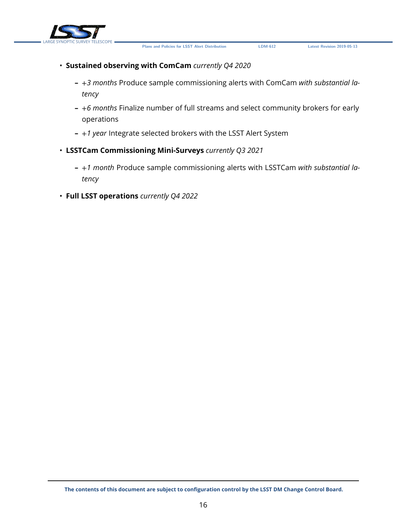



# • **Sustained observing with ComCam** *currently Q4 2020*

- **–** +*3 months* Produce sample commissioning alerts with ComCam *with substantial latency*
- **–** +*6 months* Finalize number of full streams and select community brokers for early operations
- **–** +*1 year* Integrate selected brokers with the LSST Alert System
- **LSSTCam Commissioning Mini-Surveys** *currently Q3 2021*
	- **–** +*1 month* Produce sample commissioning alerts with LSSTCam *with substantial latency*
- **Full LSST operations** *currently Q4 2022*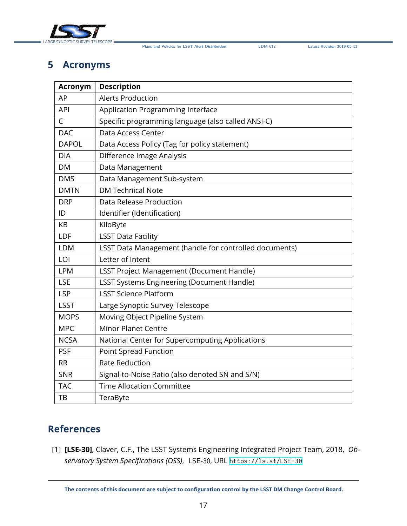

# <span id="page-21-0"></span>**5 Acronyms**

| <b>Acronym</b> | <b>Description</b>                                     |
|----------------|--------------------------------------------------------|
| AP             | <b>Alerts Production</b>                               |
| <b>API</b>     | Application Programming Interface                      |
| C              | Specific programming language (also called ANSI-C)     |
| <b>DAC</b>     | Data Access Center                                     |
| <b>DAPOL</b>   | Data Access Policy (Tag for policy statement)          |
| <b>DIA</b>     | Difference Image Analysis                              |
| <b>DM</b>      | Data Management                                        |
| <b>DMS</b>     | Data Management Sub-system                             |
| <b>DMTN</b>    | <b>DM Technical Note</b>                               |
| <b>DRP</b>     | Data Release Production                                |
| ID             | Identifier (Identification)                            |
| KB             | KiloByte                                               |
| LDF            | <b>LSST Data Facility</b>                              |
| <b>LDM</b>     | LSST Data Management (handle for controlled documents) |
| LOI            | Letter of Intent                                       |
| <b>LPM</b>     | <b>LSST Project Management (Document Handle)</b>       |
| <b>LSE</b>     | <b>LSST Systems Engineering (Document Handle)</b>      |
| <b>LSP</b>     | <b>LSST Science Platform</b>                           |
| <b>LSST</b>    | Large Synoptic Survey Telescope                        |
| <b>MOPS</b>    | Moving Object Pipeline System                          |
| <b>MPC</b>     | <b>Minor Planet Centre</b>                             |
| <b>NCSA</b>    | National Center for Supercomputing Applications        |
| <b>PSF</b>     | <b>Point Spread Function</b>                           |
| <b>RR</b>      | <b>Rate Reduction</b>                                  |
| <b>SNR</b>     | Signal-to-Noise Ratio (also denoted SN and S/N)        |
| <b>TAC</b>     | <b>Time Allocation Committee</b>                       |
| TB             | TeraByte                                               |

# **References**

<span id="page-21-1"></span>[1] **[LSE-30]**, Claver, C.F., The LSST Systems Engineering Integrated Project Team, 2018, *Observatory System Specifications (OSS)*, LSE-30, URL <https://ls.st/LSE-30>